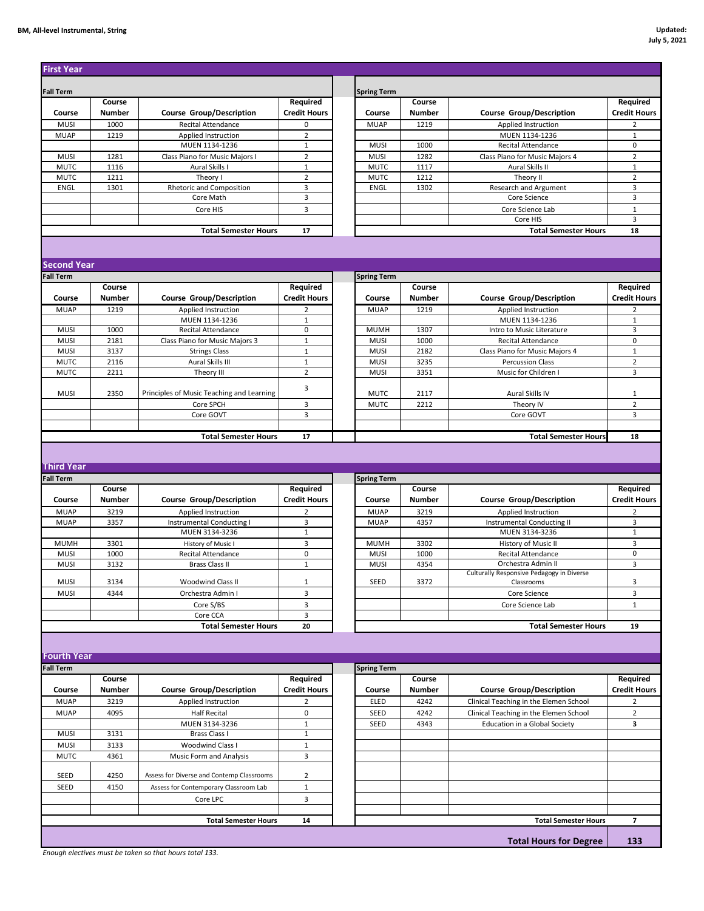## **BM, All-level Instrumental, String Updated:**

| <b>Fall Term</b>           | Course        |                                                        | Required                        |
|----------------------------|---------------|--------------------------------------------------------|---------------------------------|
| Course                     | Number        | <b>Course Group/Description</b>                        | <b>Credit Hours</b>             |
| <b>MUSI</b><br><b>MUAP</b> | 1000<br>1219  | Recital Attendance<br>Applied Instruction              | 0<br>$\overline{2}$             |
|                            |               | MUEN 1134-1236                                         | $\mathbf{1}$                    |
| <b>MUSI</b>                | 1281          | Class Piano for Music Majors I                         | $\overline{2}$                  |
| <b>MUTC</b>                | 1116          | Aural Skills I                                         | $\mathbf{1}$                    |
| <b>MUTC</b>                | 1211          | Theory I                                               | $\overline{2}$<br>3             |
| ENGL                       | 1301          | Rhetoric and Composition<br>Core Math                  | 3                               |
|                            |               | Core HIS                                               | 3                               |
|                            |               |                                                        |                                 |
|                            |               | <b>Total Semester Hours</b>                            | 17                              |
|                            |               |                                                        |                                 |
| <b>Second Year</b>         |               |                                                        |                                 |
| <b>Fall Term</b>           |               |                                                        |                                 |
|                            | Course        |                                                        | Required                        |
| Course                     | Number        | <b>Course Group/Description</b>                        | <b>Credit Hours</b>             |
| <b>MUAP</b>                | 1219          | Applied Instruction                                    | $\overline{2}$                  |
| MUSI                       | 1000          | MUEN 1134-1236<br><b>Recital Attendance</b>            | $1\,$<br>0                      |
| <b>MUSI</b>                | 2181          | Class Piano for Music Majors 3                         | $\mathbf 1$                     |
| <b>MUSI</b>                | 3137          | <b>Strings Class</b>                                   | $1\,$                           |
| <b>MUTC</b>                | 2116          | Aural Skills III                                       | $\mathbf 1$                     |
| <b>MUTC</b>                | 2211          | Theory III                                             | $\overline{2}$                  |
|                            |               |                                                        | 3                               |
| <b>MUSI</b>                | 2350          | Principles of Music Teaching and Learning<br>Core SPCH | 3                               |
|                            |               | Core GOVT                                              | 3                               |
|                            |               |                                                        |                                 |
|                            |               | <b>Total Semester Hours</b>                            | 17                              |
|                            |               |                                                        |                                 |
| <b>Third Year</b>          |               |                                                        |                                 |
| <b>Fall Term</b>           |               |                                                        |                                 |
|                            | Course        |                                                        | Required                        |
| Course                     | <b>Number</b> | <b>Course Group/Description</b>                        | <b>Credit Hours</b>             |
| <b>MUAP</b>                | 3219          | Applied Instruction                                    | $\overline{2}$                  |
| <b>MUAP</b>                | 3357          | Instrumental Conducting I                              | 3                               |
|                            |               | MUEN 3134-3236                                         | $\mathbf{1}$                    |
| <b>MUMH</b>                | 3301          | History of Music I                                     | 3                               |
| <b>MUSI</b>                | 1000          | <b>Recital Attendance</b>                              | 0                               |
| <b>MUSI</b>                | 3132          | <b>Brass Class II</b>                                  | $\mathbf{1}$                    |
| MUSI                       | 3134          | <b>Woodwind Class II</b>                               | $1\,$                           |
| <b>MUSI</b>                | 4344          | Orchestra Admin I                                      | 3                               |
|                            |               | Core S/BS                                              | 3                               |
|                            |               | Core CCA                                               | 3                               |
|                            |               | <b>Total Semester Hours</b>                            | 20                              |
|                            |               |                                                        |                                 |
| <b>Fourth Year</b>         |               |                                                        |                                 |
|                            |               |                                                        |                                 |
|                            |               |                                                        |                                 |
| <b>Fall Term</b>           | Course        |                                                        |                                 |
| Course                     | Number        |                                                        | Required<br><b>Credit Hours</b> |
| <b>MUAP</b>                | 3219          | <b>Course Group/Description</b><br>Applied Instruction | $\overline{2}$                  |
| <b>MUAP</b>                | 4095          | <b>Half Recital</b>                                    | 0                               |
|                            |               | MUEN 3134-3236                                         | $\mathbf 1$                     |
| MUSI                       | 3131          | Brass Class I                                          | $\mathbf 1$                     |
| <b>MUSI</b>                | 3133          | Woodwind Class I                                       | $\mathbf 1$                     |
| <b>MUTC</b>                | 4361          | Music Form and Analysis                                | 3                               |
|                            |               |                                                        |                                 |
| SEED                       | 4250          | Assess for Diverse and Contemp Classrooms              | $\overline{2}$                  |
| SEED                       | 4150          | Assess for Contemporary Classroom Lab                  | $\mathbf{1}$                    |
|                            |               | Core LPC                                               | 3                               |
|                            |               | <b>Total Semester Hours</b>                            | 14                              |
|                            |               |                                                        |                                 |

*Enough electives must be taken so that hours total 133.*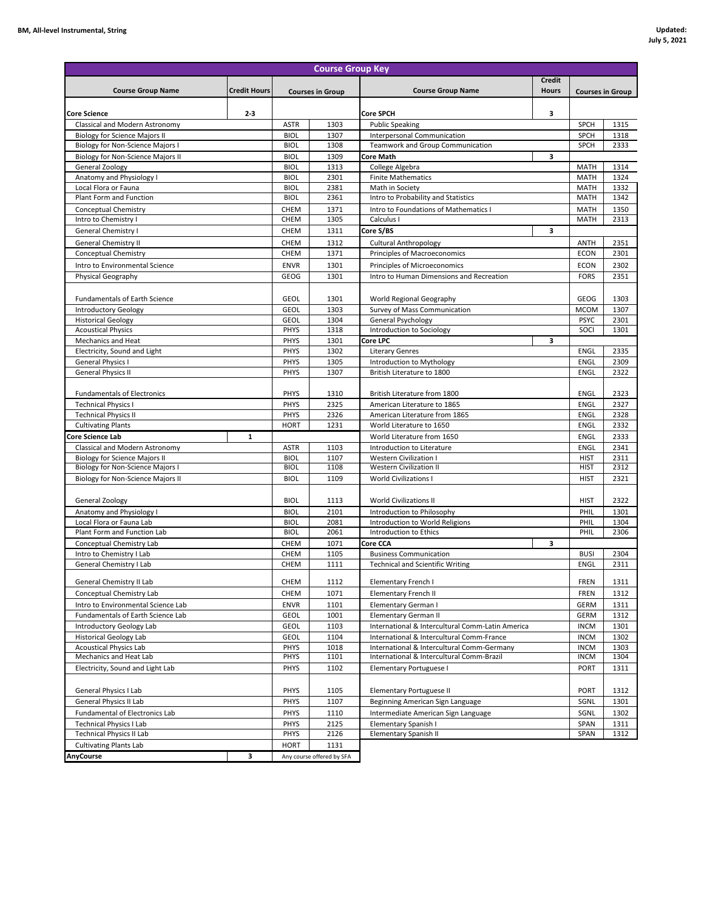| <b>Course Group Key</b>                                                 |                            |              |                                                                                         |                                          |                            |                         |      |  |  |
|-------------------------------------------------------------------------|----------------------------|--------------|-----------------------------------------------------------------------------------------|------------------------------------------|----------------------------|-------------------------|------|--|--|
| <b>Course Group Name</b>                                                | <b>Credit Hours</b>        |              | <b>Courses in Group</b>                                                                 | <b>Course Group Name</b>                 | Credit<br><b>Hours</b>     |                         |      |  |  |
|                                                                         |                            |              |                                                                                         |                                          |                            | <b>Courses in Group</b> |      |  |  |
| $2 - 3$<br><b>Core Science</b>                                          |                            |              |                                                                                         | <b>Core SPCH</b>                         | 3                          |                         |      |  |  |
| Classical and Modern Astronomy                                          |                            | <b>ASTR</b>  | 1303                                                                                    | <b>Public Speaking</b>                   |                            | SPCH                    | 1315 |  |  |
| <b>Biology for Science Majors II</b>                                    |                            | <b>BIOL</b>  | 1307                                                                                    | Interpersonal Communication              |                            | SPCH                    | 1318 |  |  |
| <b>Biology for Non-Science Majors I</b>                                 |                            | <b>BIOL</b>  | 1308                                                                                    | Teamwork and Group Communication         |                            | SPCH                    | 2333 |  |  |
| Biology for Non-Science Majors II                                       |                            | <b>BIOL</b>  | 1309                                                                                    | Core Math                                | 3                          |                         |      |  |  |
| General Zoology                                                         |                            | <b>BIOL</b>  | 1313                                                                                    | College Algebra                          |                            | MATH                    | 1314 |  |  |
| Anatomy and Physiology I                                                |                            | <b>BIOL</b>  | 2301                                                                                    | <b>Finite Mathematics</b>                |                            | MATH                    | 1324 |  |  |
| Local Flora or Fauna                                                    |                            | <b>BIOL</b>  | 2381                                                                                    | Math in Society                          |                            | MATH                    | 1332 |  |  |
| Plant Form and Function                                                 |                            | <b>BIOL</b>  | 2361                                                                                    | Intro to Probability and Statistics      |                            | MATH                    | 1342 |  |  |
| <b>Conceptual Chemistry</b>                                             |                            | CHEM         | 1371                                                                                    | Intro to Foundations of Mathematics I    |                            | <b>MATH</b>             | 1350 |  |  |
| Intro to Chemistry I                                                    |                            | CHEM         | 1305                                                                                    | Calculus I                               |                            | <b>MATH</b>             | 2313 |  |  |
| General Chemistry I                                                     |                            | CHEM         | 1311                                                                                    | Core S/BS                                | 3                          |                         |      |  |  |
| General Chemistry II                                                    |                            | CHEM         | 1312                                                                                    | <b>Cultural Anthropology</b>             |                            | <b>ANTH</b>             | 2351 |  |  |
| Conceptual Chemistry                                                    |                            | CHEM         | 1371                                                                                    | Principles of Macroeconomics             |                            | <b>ECON</b>             | 2301 |  |  |
| Intro to Environmental Science                                          |                            | <b>ENVR</b>  | 1301                                                                                    | Principles of Microeconomics             |                            | <b>ECON</b>             | 2302 |  |  |
| Physical Geography                                                      |                            | GEOG         | 1301                                                                                    | Intro to Human Dimensions and Recreation |                            | <b>FORS</b>             | 2351 |  |  |
|                                                                         |                            |              |                                                                                         |                                          |                            |                         |      |  |  |
| <b>Fundamentals of Earth Science</b>                                    |                            | <b>GEOL</b>  | 1301                                                                                    | World Regional Geography                 |                            | GEOG                    | 1303 |  |  |
| Introductory Geology                                                    |                            | <b>GEOL</b>  | 1303                                                                                    | Survey of Mass Communication             |                            | <b>MCOM</b>             | 1307 |  |  |
| <b>Historical Geology</b>                                               |                            | <b>GEOL</b>  | 1304                                                                                    | General Psychology                       |                            | <b>PSYC</b>             | 2301 |  |  |
| <b>Acoustical Physics</b>                                               |                            | PHYS         | 1318                                                                                    | Introduction to Sociology                |                            | SOCI                    | 1301 |  |  |
| Mechanics and Heat                                                      |                            | PHYS         | 1301                                                                                    | Core LPC                                 | 3                          |                         |      |  |  |
| Electricity, Sound and Light                                            |                            | PHYS         | 1302                                                                                    | <b>Literary Genres</b>                   |                            | ENGL                    | 2335 |  |  |
| <b>General Physics I</b>                                                |                            | PHYS         | 1305                                                                                    | Introduction to Mythology                |                            | <b>ENGL</b>             | 2309 |  |  |
| <b>General Physics II</b>                                               |                            | PHYS         | 1307                                                                                    | British Literature to 1800               |                            | <b>ENGL</b>             | 2322 |  |  |
|                                                                         |                            |              |                                                                                         |                                          |                            |                         |      |  |  |
| <b>Fundamentals of Electronics</b>                                      |                            | PHYS         | 1310                                                                                    | British Literature from 1800             |                            | ENGL                    | 2323 |  |  |
| <b>Technical Physics I</b>                                              |                            | PHYS         | 2325                                                                                    | American Literature to 1865              |                            | <b>ENGL</b>             | 2327 |  |  |
| <b>Technical Physics II</b>                                             |                            | PHYS         | 2326                                                                                    | American Literature from 1865            |                            | ENGL                    | 2328 |  |  |
| <b>Cultivating Plants</b>                                               |                            | <b>HORT</b>  | 1231                                                                                    | World Literature to 1650                 |                            | <b>ENGL</b>             | 2332 |  |  |
| Core Science Lab<br>$\mathbf{1}$                                        |                            |              |                                                                                         | World Literature from 1650               |                            | <b>ENGL</b>             | 2333 |  |  |
| Classical and Modern Astronomy                                          |                            | <b>ASTR</b>  | 1103                                                                                    | Introduction to Literature               |                            | <b>ENGL</b>             | 2341 |  |  |
| <b>Biology for Science Majors II</b>                                    |                            | <b>BIOL</b>  | 1107                                                                                    | <b>Western Civilization I</b>            |                            | <b>HIST</b>             | 2311 |  |  |
| <b>Biology for Non-Science Majors I</b>                                 |                            | <b>BIOL</b>  | 1108                                                                                    | <b>Western Civilization II</b>           |                            | <b>HIST</b>             | 2312 |  |  |
| Biology for Non-Science Majors II                                       |                            | <b>BIOL</b>  | 1109                                                                                    | <b>World Civilizations I</b>             |                            | <b>HIST</b>             | 2321 |  |  |
|                                                                         |                            |              |                                                                                         |                                          |                            |                         |      |  |  |
| General Zoology                                                         |                            | <b>BIOL</b>  | 1113                                                                                    | <b>World Civilizations II</b>            |                            | <b>HIST</b>             | 2322 |  |  |
| Anatomy and Physiology I                                                |                            | <b>BIOL</b>  | 2101                                                                                    | Introduction to Philosophy               |                            | PHIL                    | 1301 |  |  |
| Local Flora or Fauna Lab                                                |                            | <b>BIOL</b>  | 2081                                                                                    | Introduction to World Religions          |                            | PHIL                    | 1304 |  |  |
| Plant Form and Function Lab                                             |                            | <b>BIOL</b>  | 2061                                                                                    | Introduction to Ethics                   |                            | PHIL                    | 2306 |  |  |
| Conceptual Chemistry Lab                                                |                            | CHEM         | 1071                                                                                    | Core CCA                                 | з                          |                         |      |  |  |
| Intro to Chemistry I Lab                                                |                            | CHEM         | 1105                                                                                    | <b>Business Communication</b>            |                            | <b>BUSI</b>             | 2304 |  |  |
| General Chemistry I Lab                                                 |                            | CHEM         | 1111                                                                                    | <b>Technical and Scientific Writing</b>  |                            | ENGL                    | 2311 |  |  |
| General Chemistry II Lab                                                | CHEM                       | 1112         | Elementary French I                                                                     |                                          | FREN                       | 1311                    |      |  |  |
| Conceptual Chemistry Lab                                                |                            | CHEM         | 1071                                                                                    | Elementary French II                     |                            | <b>FREN</b>             | 1312 |  |  |
|                                                                         |                            |              |                                                                                         |                                          |                            |                         |      |  |  |
| Intro to Environmental Science Lab<br>Fundamentals of Earth Science Lab | <b>ENVR</b><br><b>GEOL</b> | 1101<br>1001 | Elementary German I<br>Elementary German II                                             |                                          | GERM<br><b>GERM</b>        | 1311<br>1312            |      |  |  |
|                                                                         |                            |              |                                                                                         |                                          |                            |                         |      |  |  |
| Introductory Geology Lab                                                | GEOL                       | 1103         | International & Intercultural Comm-Latin America                                        |                                          | <b>INCM</b>                | 1301                    |      |  |  |
| <b>Historical Geology Lab</b><br><b>Acoustical Physics Lab</b>          | <b>GEOL</b>                | 1104         | International & Intercultural Comm-France                                               |                                          | <b>INCM</b>                | 1302                    |      |  |  |
| Mechanics and Heat Lab                                                  | PHYS<br>PHYS               | 1018<br>1101 | International & Intercultural Comm-Germany<br>International & Intercultural Comm-Brazil |                                          | <b>INCM</b><br><b>INCM</b> | 1303<br>1304            |      |  |  |
| Electricity, Sound and Light Lab                                        | PHYS                       | 1102         | Elementary Portuguese I                                                                 |                                          | <b>PORT</b>                | 1311                    |      |  |  |
|                                                                         |                            |              |                                                                                         |                                          |                            |                         |      |  |  |
|                                                                         |                            |              |                                                                                         |                                          |                            |                         |      |  |  |
| General Physics I Lab<br>General Physics II Lab                         | PHYS<br>PHYS               | 1105<br>1107 | <b>Elementary Portuguese II</b>                                                         |                                          | <b>PORT</b>                | 1312<br>1301            |      |  |  |
|                                                                         |                            |              | Beginning American Sign Language                                                        |                                          | SGNL                       |                         |      |  |  |
| Fundamental of Electronics Lab                                          | PHYS                       | 1110         | Intermediate American Sign Language                                                     |                                          | SGNL                       | 1302                    |      |  |  |
| <b>Technical Physics I Lab</b><br><b>Technical Physics II Lab</b>       | PHYS<br>PHYS               | 2125<br>2126 | Elementary Spanish I<br>Elementary Spanish II                                           |                                          | SPAN<br>SPAN               | 1311<br>1312            |      |  |  |
|                                                                         |                            |              |                                                                                         |                                          |                            |                         |      |  |  |
| <b>Cultivating Plants Lab</b>                                           |                            | <b>HORT</b>  | 1131                                                                                    |                                          |                            |                         |      |  |  |
| AnyCourse<br>3                                                          |                            |              | Any course offered by SFA                                                               |                                          |                            |                         |      |  |  |